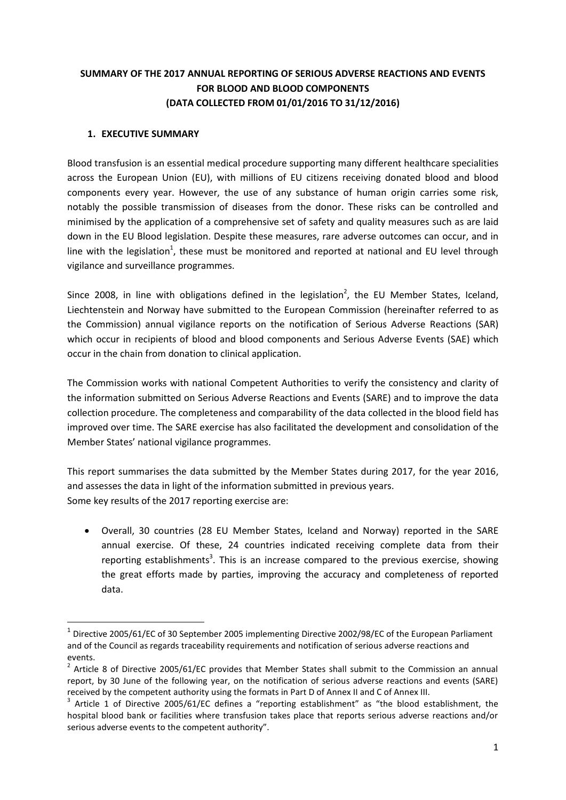# **SUMMARY OF THE 2017 ANNUAL REPORTING OF SERIOUS ADVERSE REACTIONS AND EVENTS FOR BLOOD AND BLOOD COMPONENTS (DATA COLLECTED FROM 01/01/2016 TO 31/12/2016)**

#### **1. EXECUTIVE SUMMARY**

1

Blood transfusion is an essential medical procedure supporting many different healthcare specialities across the European Union (EU), with millions of EU citizens receiving donated blood and blood components every year. However, the use of any substance of human origin carries some risk, notably the possible transmission of diseases from the donor. These risks can be controlled and minimised by the application of a comprehensive set of safety and quality measures such as are laid down in the EU Blood legislation. Despite these measures, rare adverse outcomes can occur, and in line with the legislation<sup>1</sup>, these must be monitored and reported at national and EU level through vigilance and surveillance programmes.

Since 2008, in line with obligations defined in the legislation<sup>2</sup>, the EU Member States, Iceland, Liechtenstein and Norway have submitted to the European Commission (hereinafter referred to as the Commission) annual vigilance reports on the notification of Serious Adverse Reactions (SAR) which occur in recipients of blood and blood components and Serious Adverse Events (SAE) which occur in the chain from donation to clinical application.

The Commission works with national Competent Authorities to verify the consistency and clarity of the information submitted on Serious Adverse Reactions and Events (SARE) and to improve the data collection procedure. The completeness and comparability of the data collected in the blood field has improved over time. The SARE exercise has also facilitated the development and consolidation of the Member States' national vigilance programmes.

This report summarises the data submitted by the Member States during 2017, for the year 2016, and assesses the data in light of the information submitted in previous years. Some key results of the 2017 reporting exercise are:

 Overall, 30 countries (28 EU Member States, Iceland and Norway) reported in the SARE annual exercise. Of these, 24 countries indicated receiving complete data from their reporting establishments<sup>3</sup>. This is an increase compared to the previous exercise, showing the great efforts made by parties, improving the accuracy and completeness of reported data.

 $<sup>1</sup>$  Directive 2005/61/EC of 30 September 2005 implementing Directive 2002/98/EC of the European Parliament</sup> and of the Council as regards traceability requirements and notification of serious adverse reactions and events.

<sup>&</sup>lt;sup>2</sup> Article 8 of Directive 2005/61/EC provides that Member States shall submit to the Commission an annual report, by 30 June of the following year, on the notification of serious adverse reactions and events (SARE) received by the competent authority using the formats in Part D of Annex II and C of Annex III.

<sup>&</sup>lt;sup>3</sup> Article 1 of Directive 2005/61/EC defines a "reporting establishment" as "the blood establishment, the hospital blood bank or facilities where transfusion takes place that reports serious adverse reactions and/or serious adverse events to the competent authority".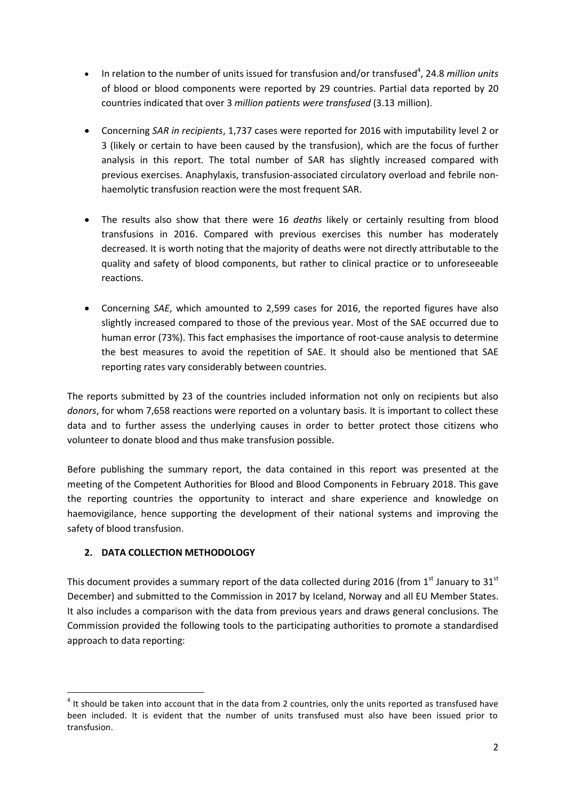- In relation to the number of units issued for transfusion and/or transfused<sup>4</sup>, 24.8 *million units* of blood or blood components were reported by 29 countries. Partial data reported by 20 countries indicated that over 3 *million patients were transfused* (3.13 million).
- Concerning *SAR in recipients*, 1,737 cases were reported for 2016 with imputability level 2 or 3 (likely or certain to have been caused by the transfusion), which are the focus of further analysis in this report. The total number of SAR has slightly increased compared with previous exercises. Anaphylaxis, transfusion-associated circulatory overload and febrile nonhaemolytic transfusion reaction were the most frequent SAR.
- The results also show that there were 16 *deaths* likely or certainly resulting from blood transfusions in 2016. Compared with previous exercises this number has moderately decreased. It is worth noting that the majority of deaths were not directly attributable to the quality and safety of blood components, but rather to clinical practice or to unforeseeable reactions.
- Concerning *SAE*, which amounted to 2,599 cases for 2016, the reported figures have also slightly increased compared to those of the previous year. Most of the SAE occurred due to human error (73%). This fact emphasises the importance of root-cause analysis to determine the best measures to avoid the repetition of SAE. It should also be mentioned that SAE reporting rates vary considerably between countries.

The reports submitted by 23 of the countries included information not only on recipients but also *donors*, for whom 7,658 reactions were reported on a voluntary basis. It is important to collect these data and to further assess the underlying causes in order to better protect those citizens who volunteer to donate blood and thus make transfusion possible.

Before publishing the summary report, the data contained in this report was presented at the meeting of the Competent Authorities for Blood and Blood Components in February 2018. This gave the reporting countries the opportunity to interact and share experience and knowledge on haemovigilance, hence supporting the development of their national systems and improving the safety of blood transfusion.

## **2. DATA COLLECTION METHODOLOGY**

This document provides a summary report of the data collected during 2016 (from  $1<sup>st</sup>$  January to  $31<sup>st</sup>$ December) and submitted to the Commission in 2017 by Iceland, Norway and all EU Member States. It also includes a comparison with the data from previous years and draws general conclusions. The Commission provided the following tools to the participating authorities to promote a standardised approach to data reporting:

**<sup>.</sup>**  $<sup>4</sup>$  It should be taken into account that in the data from 2 countries, only the units reported as transfused have</sup> been included. It is evident that the number of units transfused must also have been issued prior to transfusion.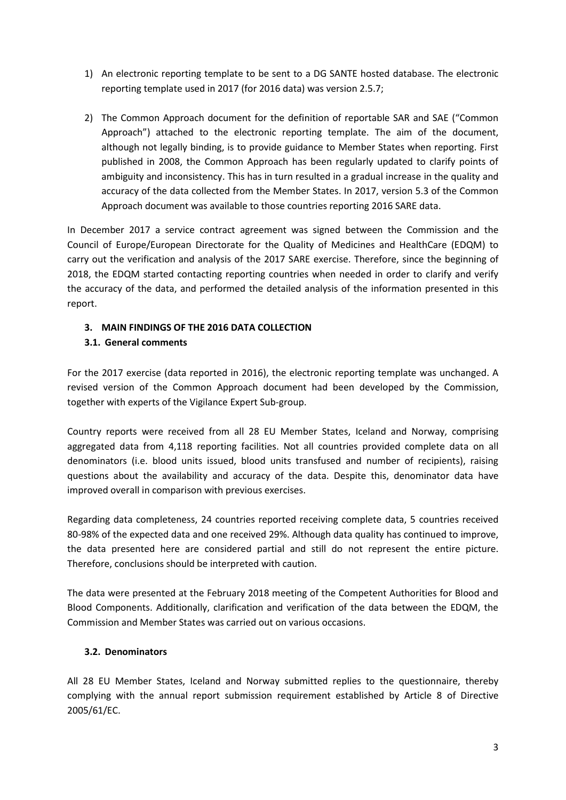- 1) An electronic reporting template to be sent to a DG SANTE hosted database. The electronic reporting template used in 2017 (for 2016 data) was version 2.5.7;
- 2) The Common Approach document for the definition of reportable SAR and SAE ("Common Approach") attached to the electronic reporting template. The aim of the document, although not legally binding, is to provide guidance to Member States when reporting. First published in 2008, the Common Approach has been regularly updated to clarify points of ambiguity and inconsistency. This has in turn resulted in a gradual increase in the quality and accuracy of the data collected from the Member States. In 2017, version 5.3 of the Common Approach document was available to those countries reporting 2016 SARE data.

In December 2017 a service contract agreement was signed between the Commission and the Council of Europe/European Directorate for the Quality of Medicines and HealthCare (EDQM) to carry out the verification and analysis of the 2017 SARE exercise. Therefore, since the beginning of 2018, the EDQM started contacting reporting countries when needed in order to clarify and verify the accuracy of the data, and performed the detailed analysis of the information presented in this report.

### **3. MAIN FINDINGS OF THE 2016 DATA COLLECTION**

### **3.1. General comments**

For the 2017 exercise (data reported in 2016), the electronic reporting template was unchanged. A revised version of the Common Approach document had been developed by the Commission, together with experts of the Vigilance Expert Sub-group.

Country reports were received from all 28 EU Member States, Iceland and Norway, comprising aggregated data from 4,118 reporting facilities. Not all countries provided complete data on all denominators (i.e. blood units issued, blood units transfused and number of recipients), raising questions about the availability and accuracy of the data. Despite this, denominator data have improved overall in comparison with previous exercises.

Regarding data completeness, 24 countries reported receiving complete data, 5 countries received 80-98% of the expected data and one received 29%. Although data quality has continued to improve, the data presented here are considered partial and still do not represent the entire picture. Therefore, conclusions should be interpreted with caution.

The data were presented at the February 2018 meeting of the Competent Authorities for Blood and Blood Components. Additionally, clarification and verification of the data between the EDQM, the Commission and Member States was carried out on various occasions.

#### **3.2. Denominators**

All 28 EU Member States, Iceland and Norway submitted replies to the questionnaire, thereby complying with the annual report submission requirement established by Article 8 of Directive 2005/61/EC.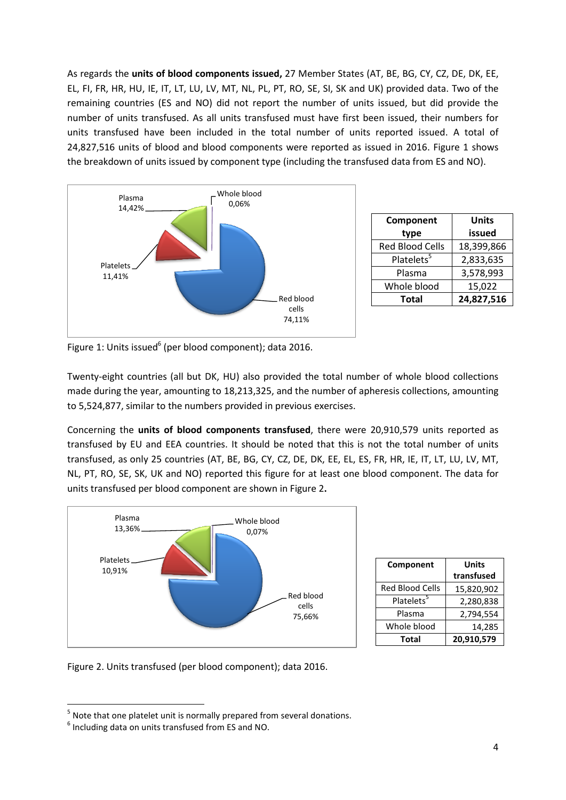As regards the **units of blood components issued,** 27 Member States (AT, BE, BG, CY, CZ, DE, DK, EE, EL, FI, FR, HR, HU, IE, IT, LT, LU, LV, MT, NL, PL, PT, RO, SE, SI, SK and UK) provided data. Two of the remaining countries (ES and NO) did not report the number of units issued, but did provide the number of units transfused. As all units transfused must have first been issued, their numbers for units transfused have been included in the total number of units reported issued. A total of 24,827,516 units of blood and blood components were reported as issued in 2016. Figure 1 shows the breakdown of units issued by component type (including the transfused data from ES and NO).



| Component              | Units      |  |  |  |  |  |
|------------------------|------------|--|--|--|--|--|
| type                   | issued     |  |  |  |  |  |
| <b>Red Blood Cells</b> | 18,399,866 |  |  |  |  |  |
| Platelets <sup>5</sup> | 2,833,635  |  |  |  |  |  |
| Plasma                 | 3,578,993  |  |  |  |  |  |
| Whole blood            | 15,022     |  |  |  |  |  |
| <b>Total</b>           | 24,827,516 |  |  |  |  |  |

Figure 1: Units issued<sup>6</sup> (per blood component); data 2016.

Twenty-eight countries (all but DK, HU) also provided the total number of whole blood collections made during the year, amounting to 18,213,325, and the number of apheresis collections, amounting to 5,524,877, similar to the numbers provided in previous exercises.

Concerning the **units of blood components transfused**, there were 20,910,579 units reported as transfused by EU and EEA countries. It should be noted that this is not the total number of units transfused, as only 25 countries (AT, BE, BG, CY, CZ, DE, DK, EE, EL, ES, FR, HR, IE, IT, LT, LU, LV, MT, NL, PT, RO, SE, SK, UK and NO) reported this figure for at least one blood component. The data for units transfused per blood component are shown in Figure 2**.**



| Component              | <b>Units</b> |  |  |  |  |
|------------------------|--------------|--|--|--|--|
|                        | transfused   |  |  |  |  |
| Red Blood Cells        | 15,820,902   |  |  |  |  |
| Platelets <sup>5</sup> | 2,280,838    |  |  |  |  |
| Plasma                 | 2,794,554    |  |  |  |  |
| Whole blood            | 14,285       |  |  |  |  |
| Total                  | 20,910,579   |  |  |  |  |

Figure 2. Units transfused (per blood component); data 2016.

 $<sup>5</sup>$  Note that one platelet unit is normally prepared from several donations.</sup>

<sup>6</sup> Including data on units transfused from ES and NO.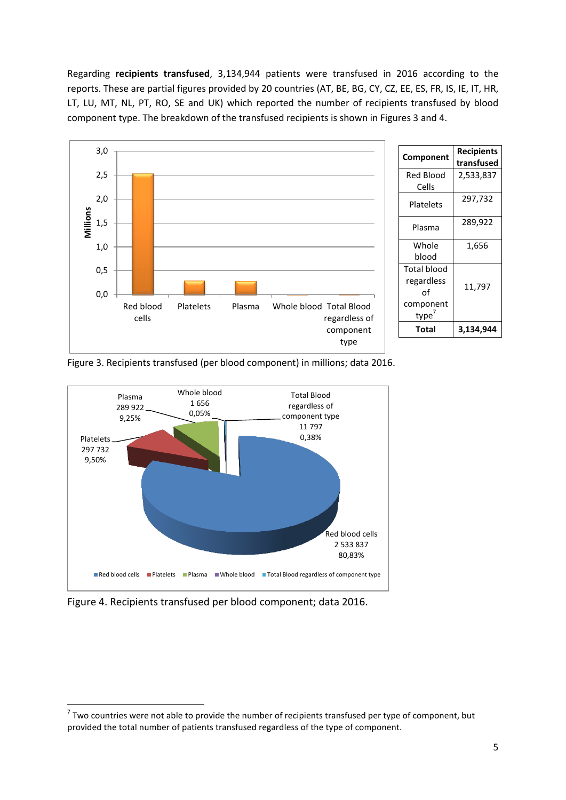Regarding **recipients transfused**, 3,134,944 patients were transfused in 2016 according to the reports. These are partial figures provided by 20 countries (AT, BE, BG, CY, CZ, EE, ES, FR, IS, IE, IT, HR, LT, LU, MT, NL, PT, RO, SE and UK) which reported the number of recipients transfused by blood component type. The breakdown of the transfused recipients is shown in Figures 3 and 4.



Figure 3. Recipients transfused (per blood component) in millions; data 2016.



Figure 4. Recipients transfused per blood component; data 2016.

 $^7$  Two countries were not able to provide the number of recipients transfused per type of component, but provided the total number of patients transfused regardless of the type of component.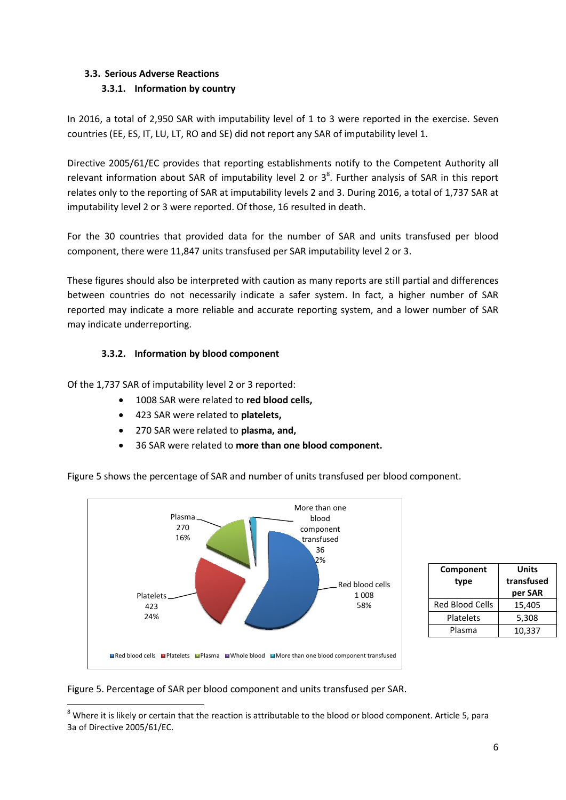# **3.3. Serious Adverse Reactions 3.3.1. Information by country**

In 2016, a total of 2,950 SAR with imputability level of 1 to 3 were reported in the exercise. Seven countries (EE, ES, IT, LU, LT, RO and SE) did not report any SAR of imputability level 1.

Directive 2005/61/EC provides that reporting establishments notify to the Competent Authority all relevant information about SAR of imputability level 2 or  $3<sup>8</sup>$ . Further analysis of SAR in this report relates only to the reporting of SAR at imputability levels 2 and 3. During 2016, a total of 1,737 SAR at imputability level 2 or 3 were reported. Of those, 16 resulted in death.

For the 30 countries that provided data for the number of SAR and units transfused per blood component, there were 11,847 units transfused per SAR imputability level 2 or 3.

These figures should also be interpreted with caution as many reports are still partial and differences between countries do not necessarily indicate a safer system. In fact, a higher number of SAR reported may indicate a more reliable and accurate reporting system, and a lower number of SAR may indicate underreporting.

### **3.3.2. Information by blood component**

Of the 1,737 SAR of imputability level 2 or 3 reported:

- 1008 SAR were related to **red blood cells,**
- 423 SAR were related to **platelets,**
- 270 SAR were related to **plasma, and,**
- 36 SAR were related to **more than one blood component.**



| Component<br>type      | Units<br>transfused<br>per SAR |  |  |  |  |
|------------------------|--------------------------------|--|--|--|--|
| <b>Red Blood Cells</b> | 15,405                         |  |  |  |  |
| Platelets              | 5,308                          |  |  |  |  |
| Plasma                 | 10,337                         |  |  |  |  |

#### Figure 5 shows the percentage of SAR and number of units transfused per blood component.

Figure 5. Percentage of SAR per blood component and units transfused per SAR.

<sup>&</sup>lt;sup>8</sup> Where it is likely or certain that the reaction is attributable to the blood or blood component. Article 5, para 3a of Directive 2005/61/EC.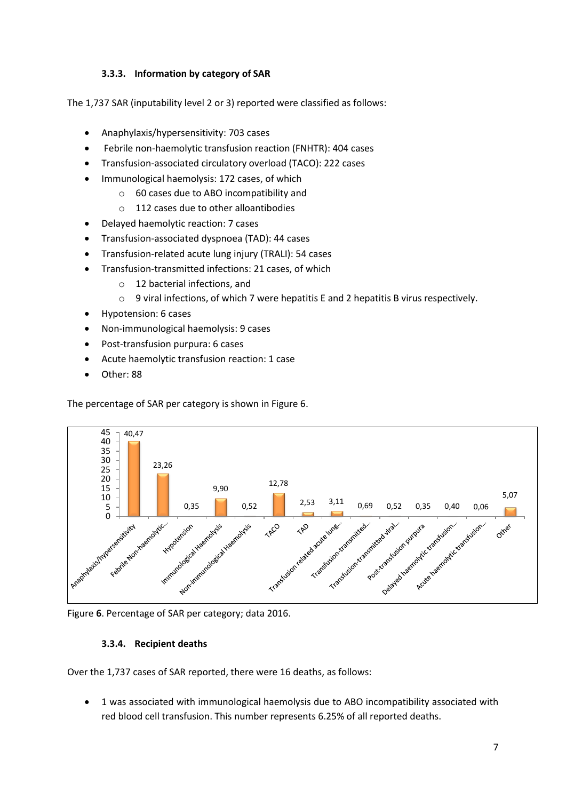### **3.3.3. Information by category of SAR**

The 1,737 SAR (inputability level 2 or 3) reported were classified as follows:

- Anaphylaxis/hypersensitivity: 703 cases
- Febrile non-haemolytic transfusion reaction (FNHTR): 404 cases
- Transfusion-associated circulatory overload (TACO): 222 cases
- Immunological haemolysis: 172 cases, of which
	- o 60 cases due to ABO incompatibility and
	- o 112 cases due to other alloantibodies
- Delayed haemolytic reaction: 7 cases
- Transfusion-associated dyspnoea (TAD): 44 cases
- Transfusion-related acute lung injury (TRALI): 54 cases
- Transfusion-transmitted infections: 21 cases, of which
	- o 12 bacterial infections, and
	- $\circ$  9 viral infections, of which 7 were hepatitis E and 2 hepatitis B virus respectively.
- Hypotension: 6 cases
- Non-immunological haemolysis: 9 cases
- Post-transfusion purpura: 6 cases
- Acute haemolytic transfusion reaction: 1 case
- Other: 88

The percentage of SAR per category is shown in Figure 6.



Figure **6**. Percentage of SAR per category; data 2016.

#### **3.3.4. Recipient deaths**

Over the 1,737 cases of SAR reported, there were 16 deaths, as follows:

 1 was associated with immunological haemolysis due to ABO incompatibility associated with red blood cell transfusion. This number represents 6.25% of all reported deaths.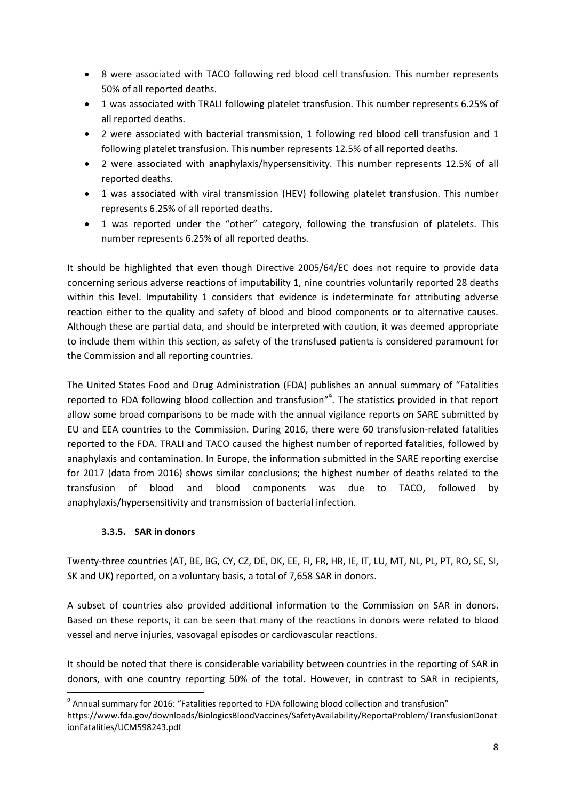- 8 were associated with TACO following red blood cell transfusion. This number represents 50% of all reported deaths.
- 1 was associated with TRALI following platelet transfusion. This number represents 6.25% of all reported deaths.
- 2 were associated with bacterial transmission, 1 following red blood cell transfusion and 1 following platelet transfusion. This number represents 12.5% of all reported deaths.
- 2 were associated with anaphylaxis/hypersensitivity. This number represents 12.5% of all reported deaths.
- 1 was associated with viral transmission (HEV) following platelet transfusion. This number represents 6.25% of all reported deaths.
- 1 was reported under the "other" category, following the transfusion of platelets. This number represents 6.25% of all reported deaths.

It should be highlighted that even though Directive 2005/64/EC does not require to provide data concerning serious adverse reactions of imputability 1, nine countries voluntarily reported 28 deaths within this level. Imputability 1 considers that evidence is indeterminate for attributing adverse reaction either to the quality and safety of blood and blood components or to alternative causes. Although these are partial data, and should be interpreted with caution, it was deemed appropriate to include them within this section, as safety of the transfused patients is considered paramount for the Commission and all reporting countries.

The United States Food and Drug Administration (FDA) publishes an annual summary of "Fatalities reported to FDA following blood collection and transfusion"<sup>9</sup>. The statistics provided in that report allow some broad comparisons to be made with the annual vigilance reports on SARE submitted by EU and EEA countries to the Commission. During 2016, there were 60 transfusion-related fatalities reported to the FDA. TRALI and TACO caused the highest number of reported fatalities, followed by anaphylaxis and contamination. In Europe, the information submitted in the SARE reporting exercise for 2017 (data from 2016) shows similar conclusions; the highest number of deaths related to the transfusion of blood and blood components was due to TACO, followed by anaphylaxis/hypersensitivity and transmission of bacterial infection.

## **3.3.5. SAR in donors**

**.** 

Twenty-three countries (AT, BE, BG, CY, CZ, DE, DK, EE, FI, FR, HR, IE, IT, LU, MT, NL, PL, PT, RO, SE, SI, SK and UK) reported, on a voluntary basis, a total of 7,658 SAR in donors.

A subset of countries also provided additional information to the Commission on SAR in donors. Based on these reports, it can be seen that many of the reactions in donors were related to blood vessel and nerve injuries, vasovagal episodes or cardiovascular reactions.

It should be noted that there is considerable variability between countries in the reporting of SAR in donors, with one country reporting 50% of the total. However, in contrast to SAR in recipients,

<sup>&</sup>lt;sup>9</sup> Annual summary for 2016: "Fatalities reported to FDA following blood collection and transfusion"

https://www.fda.gov/downloads/BiologicsBloodVaccines/SafetyAvailability/ReportaProblem/TransfusionDonat ionFatalities/UCM598243.pdf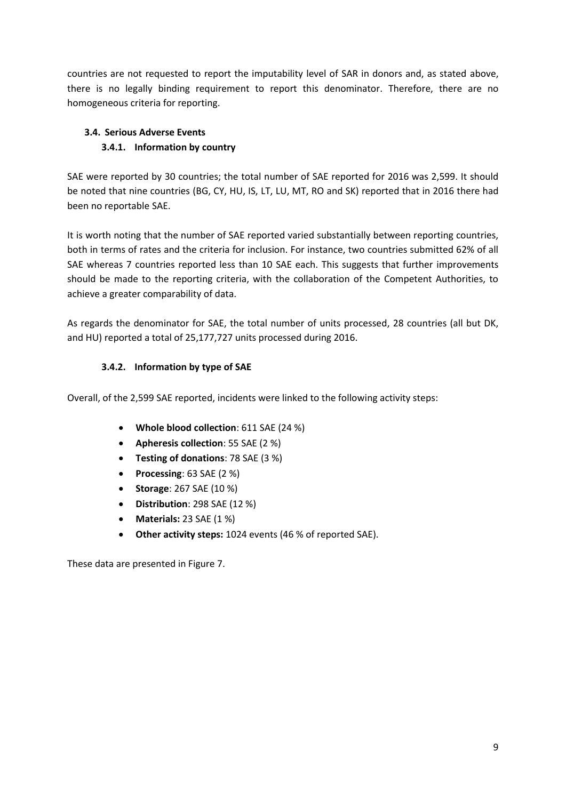countries are not requested to report the imputability level of SAR in donors and, as stated above, there is no legally binding requirement to report this denominator. Therefore, there are no homogeneous criteria for reporting.

# **3.4. Serious Adverse Events 3.4.1. Information by country**

SAE were reported by 30 countries; the total number of SAE reported for 2016 was 2,599. It should be noted that nine countries (BG, CY, HU, IS, LT, LU, MT, RO and SK) reported that in 2016 there had been no reportable SAE.

It is worth noting that the number of SAE reported varied substantially between reporting countries, both in terms of rates and the criteria for inclusion. For instance, two countries submitted 62% of all SAE whereas 7 countries reported less than 10 SAE each. This suggests that further improvements should be made to the reporting criteria, with the collaboration of the Competent Authorities, to achieve a greater comparability of data.

As regards the denominator for SAE, the total number of units processed, 28 countries (all but DK, and HU) reported a total of 25,177,727 units processed during 2016.

# **3.4.2. Information by type of SAE**

Overall, of the 2,599 SAE reported, incidents were linked to the following activity steps:

- **Whole blood collection**: 611 SAE (24 %)
- **Apheresis collection**: 55 SAE (2 %)
- **Testing of donations**: 78 SAE (3 %)
- **Processing**: 63 SAE (2 %)
- **Storage**: 267 SAE (10 %)
- **Distribution**: 298 SAE (12 %)
- **Materials:** 23 SAE (1 %)
- **Other activity steps:** 1024 events (46 % of reported SAE).

These data are presented in Figure 7.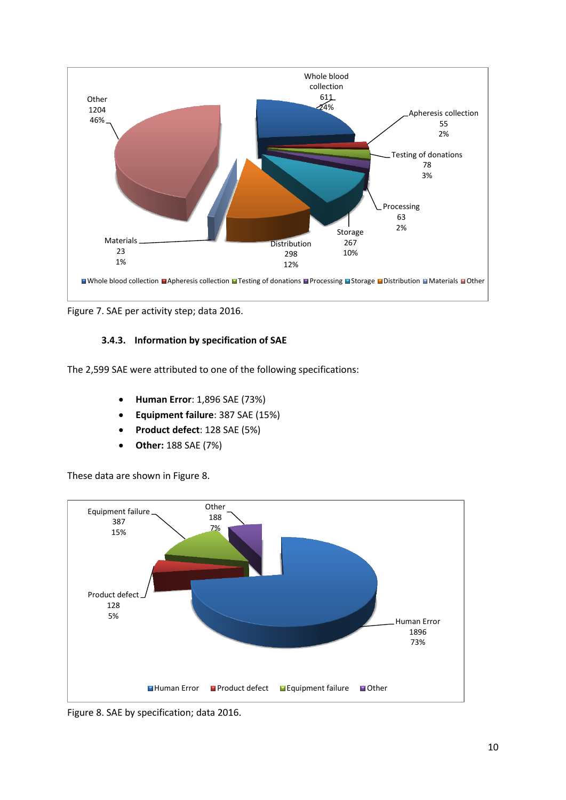

Figure 7. SAE per activity step; data 2016.

## **3.4.3. Information by specification of SAE**

The 2,599 SAE were attributed to one of the following specifications:

- **Human Error**: 1,896 SAE (73%)
- **Equipment failure**: 387 SAE (15%)
- **Product defect**: 128 SAE (5%)
- **Other:** 188 SAE (7%)

These data are shown in Figure 8.



Figure 8. SAE by specification; data 2016.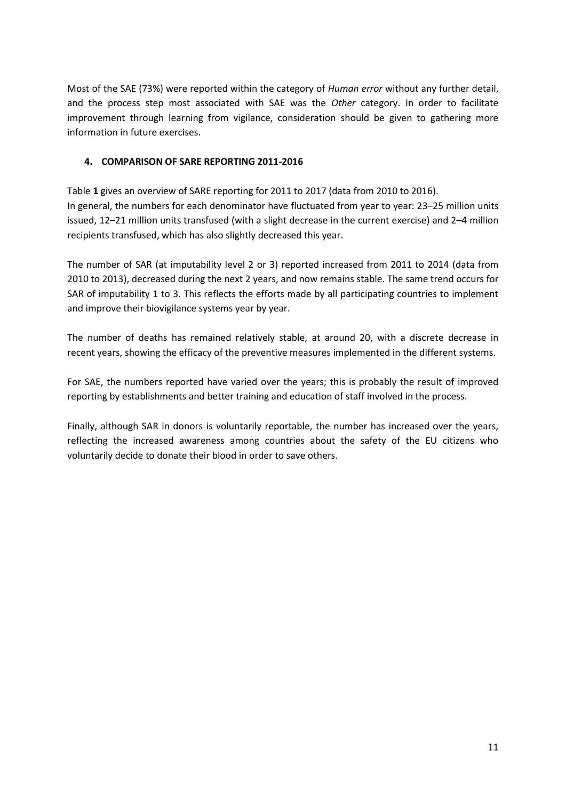Most of the SAE (73%) were reported within the category of *Human error* without any further detail, and the process step most associated with SAE was the *Other* category. In order to facilitate improvement through learning from vigilance, consideration should be given to gathering more information in future exercises.

### **4. COMPARISON OF SARE REPORTING 2011-2016**

Table **1** gives an overview of SARE reporting for 2011 to 2017 (data from 2010 to 2016). In general, the numbers for each denominator have fluctuated from year to year: 23–25 million units issued, 12–21 million units transfused (with a slight decrease in the current exercise) and 2–4 million recipients transfused, which has also slightly decreased this year.

The number of SAR (at imputability level 2 or 3) reported increased from 2011 to 2014 (data from 2010 to 2013), decreased during the next 2 years, and now remains stable. The same trend occurs for SAR of imputability 1 to 3. This reflects the efforts made by all participating countries to implement and improve their biovigilance systems year by year.

The number of deaths has remained relatively stable, at around 20, with a discrete decrease in recent years, showing the efficacy of the preventive measures implemented in the different systems.

For SAE, the numbers reported have varied over the years; this is probably the result of improved reporting by establishments and better training and education of staff involved in the process.

Finally, although SAR in donors is voluntarily reportable, the number has increased over the years, reflecting the increased awareness among countries about the safety of the EU citizens who voluntarily decide to donate their blood in order to save others.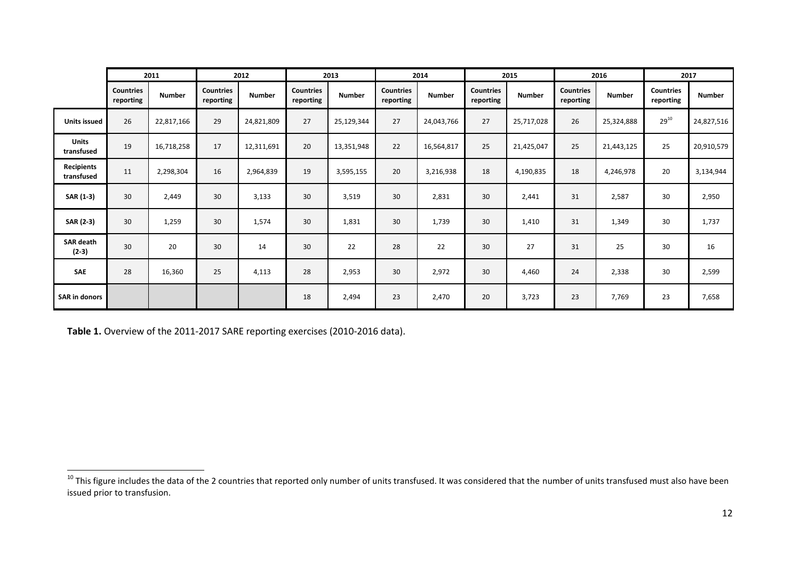|                             | 2011                          |               | 2012                          |               | 2013                          |               | 2014                          |               | 2015                          |               | 2016                          |               | 2017                          |               |
|-----------------------------|-------------------------------|---------------|-------------------------------|---------------|-------------------------------|---------------|-------------------------------|---------------|-------------------------------|---------------|-------------------------------|---------------|-------------------------------|---------------|
|                             | <b>Countries</b><br>reporting | <b>Number</b> | <b>Countries</b><br>reporting | <b>Number</b> | <b>Countries</b><br>reporting | <b>Number</b> | <b>Countries</b><br>reporting | <b>Number</b> | <b>Countries</b><br>reporting | <b>Number</b> | <b>Countries</b><br>reporting | <b>Number</b> | <b>Countries</b><br>reporting | <b>Number</b> |
| <b>Units issued</b>         | 26                            | 22,817,166    | 29                            | 24,821,809    | 27                            | 25,129,344    | 27                            | 24,043,766    | 27                            | 25,717,028    | 26                            | 25,324,888    | $29^{10}$                     | 24,827,516    |
| <b>Units</b><br>transfused  | 19                            | 16,718,258    | 17                            | 12,311,691    | 20                            | 13,351,948    | 22                            | 16,564,817    | 25                            | 21,425,047    | 25                            | 21,443,125    | 25                            | 20,910,579    |
| Recipients<br>transfused    | 11                            | 2,298,304     | 16                            | 2,964,839     | 19                            | 3,595,155     | 20                            | 3,216,938     | 18                            | 4,190,835     | 18                            | 4,246,978     | 20                            | 3,134,944     |
| SAR (1-3)                   | 30                            | 2,449         | 30                            | 3,133         | 30                            | 3,519         | 30                            | 2,831         | 30                            | 2,441         | 31                            | 2,587         | 30                            | 2,950         |
| SAR (2-3)                   | 30                            | 1,259         | 30                            | 1,574         | 30                            | 1,831         | 30                            | 1,739         | 30                            | 1,410         | 31                            | 1,349         | 30                            | 1,737         |
| <b>SAR death</b><br>$(2-3)$ | 30                            | 20            | 30                            | 14            | 30                            | 22            | 28                            | 22            | 30                            | 27            | 31                            | 25            | 30                            | 16            |
| SAE                         | 28                            | 16,360        | 25                            | 4,113         | 28                            | 2,953         | 30                            | 2,972         | 30                            | 4,460         | 24                            | 2,338         | 30                            | 2,599         |
| <b>SAR in donors</b>        |                               |               |                               |               | 18                            | 2,494         | 23                            | 2,470         | 20                            | 3,723         | 23                            | 7,769         | 23                            | 7,658         |

Table 1. Overview of the 2011-2017 SARE reporting exercises (2010-2016 data).

 $^{10}$  This figure includes the data of the 2 countries that reported only number of units transfused. It was considered that the number of units transfused must also have been issued prior to transfusion.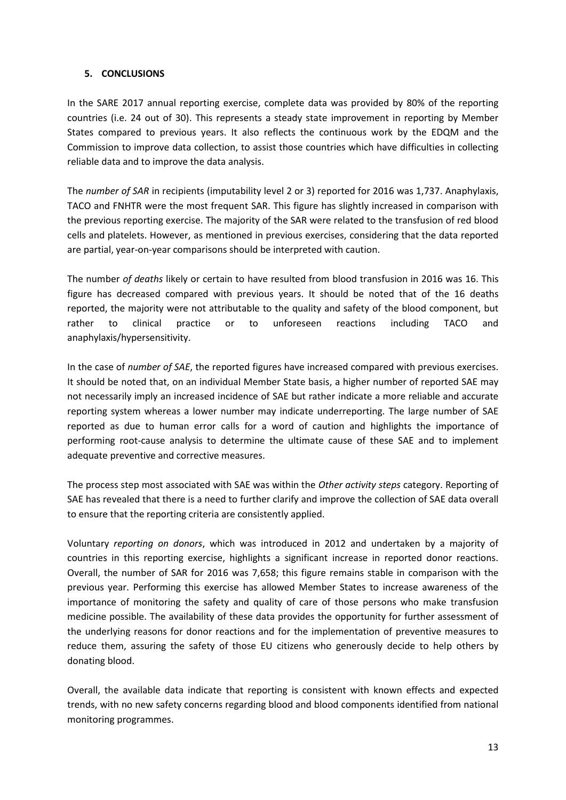#### **5. CONCLUSIONS**

In the SARE 2017 annual reporting exercise, complete data was provided by 80% of the reporting countries (i.e. 24 out of 30). This represents a steady state improvement in reporting by Member States compared to previous years. It also reflects the continuous work by the EDQM and the Commission to improve data collection, to assist those countries which have difficulties in collecting reliable data and to improve the data analysis.

The *number of SAR* in recipients (imputability level 2 or 3) reported for 2016 was 1,737. Anaphylaxis, TACO and FNHTR were the most frequent SAR. This figure has slightly increased in comparison with the previous reporting exercise. The majority of the SAR were related to the transfusion of red blood cells and platelets. However, as mentioned in previous exercises, considering that the data reported are partial, year-on-year comparisons should be interpreted with caution.

The number *of deaths* likely or certain to have resulted from blood transfusion in 2016 was 16. This figure has decreased compared with previous years. It should be noted that of the 16 deaths reported, the majority were not attributable to the quality and safety of the blood component, but rather to clinical practice or to unforeseen reactions including TACO and anaphylaxis/hypersensitivity.

In the case of *number of SAE*, the reported figures have increased compared with previous exercises. It should be noted that, on an individual Member State basis, a higher number of reported SAE may not necessarily imply an increased incidence of SAE but rather indicate a more reliable and accurate reporting system whereas a lower number may indicate underreporting. The large number of SAE reported as due to human error calls for a word of caution and highlights the importance of performing root-cause analysis to determine the ultimate cause of these SAE and to implement adequate preventive and corrective measures.

The process step most associated with SAE was within the *Other activity steps* category. Reporting of SAE has revealed that there is a need to further clarify and improve the collection of SAE data overall to ensure that the reporting criteria are consistently applied.

Voluntary *reporting on donors*, which was introduced in 2012 and undertaken by a majority of countries in this reporting exercise, highlights a significant increase in reported donor reactions. Overall, the number of SAR for 2016 was 7,658; this figure remains stable in comparison with the previous year. Performing this exercise has allowed Member States to increase awareness of the importance of monitoring the safety and quality of care of those persons who make transfusion medicine possible. The availability of these data provides the opportunity for further assessment of the underlying reasons for donor reactions and for the implementation of preventive measures to reduce them, assuring the safety of those EU citizens who generously decide to help others by donating blood.

Overall, the available data indicate that reporting is consistent with known effects and expected trends, with no new safety concerns regarding blood and blood components identified from national monitoring programmes.